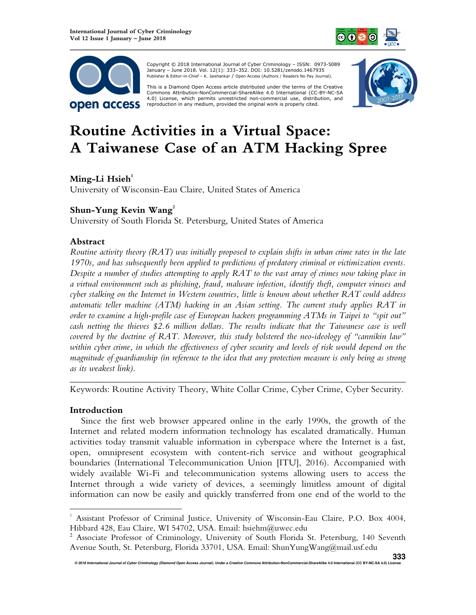



 Copyright © 2018 International Journal of Cyber Criminology – ISSN: 0973-5089 January – June 2018. Vol. 12(1): 333–352. DOI: 10.5281/zenodo.1467935 Publisher & Editor-in-Chief – K. Jaishankar / Open Access (Authors / Readers No Pay Journal).

This is a Diamond Open Access article distributed under the terms of the Creative<br>Commons Attribution-NonCommercial-ShareAlike 4.0 International (CC-BY-NC-SA 4.0) License, which permits unrestricted non-commercial use, distribution, and reproduction in any medium, provided the original work is properly cited.



# **Routine Activities in a Virtual Space: A Taiwanese Case of an ATM Hacking Spree**

# **Ming-Li Hsieh<sup>1</sup>**

University of Wisconsin-Eau Claire, United States of America

# **Shun-Yung Kevin Wang<sup>2</sup>**

University of South Florida St. Petersburg, United States of America

## **Abstract**

*Routine activity theory (RAT) was initially proposed to explain shifts in urban crime rates in the late 1970s, and has subsequently been applied to predictions of predatory criminal or victimization events. Despite a number of studies attempting to apply RAT to the vast array of crimes now taking place in a virtual environment such as phishing, fraud, malware infection, identify theft, computer viruses and cyber stalking on the Internet in Western countries, little is known about whether RAT could address automatic teller machine (ATM) hacking in an Asian setting. The current study applies RAT in order to examine a high-profile case of European hackers programming ATMs in Taipei to "spit out" cash netting the thieves \$2.6 million dollars. The results indicate that the Taiwanese case is well covered by the doctrine of RAT. Moreover, this study bolstered the neo-ideology of "cannikin law" within cyber crime, in which the effectiveness of cyber security and levels of risk would depend on the magnitude of guardianship (in reference to the idea that any protection measure is only being as strong as its weakest link).* 

*\_\_\_\_\_\_\_\_\_\_\_\_\_\_\_\_\_\_\_\_\_\_\_\_\_\_\_\_\_\_\_\_\_\_\_\_\_\_\_\_\_\_\_\_\_\_\_\_\_\_\_\_\_\_\_\_\_\_\_\_\_\_\_\_\_\_\_\_\_\_\_\_*  Keywords: Routine Activity Theory, White Collar Crime, Cyber Crime, Cyber Security.

# **Introduction**

 $\overline{a}$ 

Since the first web browser appeared online in the early 1990s, the growth of the Internet and related modern information technology has escalated dramatically. Human activities today transmit valuable information in cyberspace where the Internet is a fast, open, omnipresent ecosystem with content-rich service and without geographical boundaries (International Telecommunication Union [ITU], 2016). Accompanied with widely available Wi-Fi and telecommunication systems allowing users to access the Internet through a wide variety of devices, a seemingly limitless amount of digital information can now be easily and quickly transferred from one end of the world to the

<sup>1</sup> Assistant Professor of Criminal Justice, University of Wisconsin-Eau Claire, P.O. Box 4004, Hibbard 428, Eau Claire, WI 54702, USA. Email: hsiehm@uwec.edu

<sup>&</sup>lt;sup>2</sup> Associate Professor of Criminology, University of South Florida St. Petersburg, 140 Seventh Avenue South, St. Petersburg, Florida 33701, USA. Email: ShunYungWang@mail.usf.edu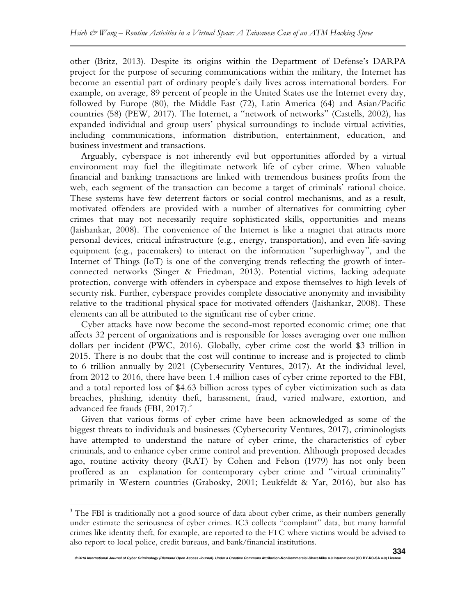other (Britz, 2013). Despite its origins within the Department of Defense's DARPA project for the purpose of securing communications within the military, the Internet has become an essential part of ordinary people's daily lives across international borders. For example, on average, 89 percent of people in the United States use the Internet every day, followed by Europe (80), the Middle East (72), Latin America (64) and Asian/Pacific countries (58) (PEW, 2017). The Internet, a "network of networks" (Castells, 2002), has expanded individual and group users' physical surroundings to include virtual activities, including communications, information distribution, entertainment, education, and business investment and transactions.

Arguably, cyberspace is not inherently evil but opportunities afforded by a virtual environment may fuel the illegitimate network life of cyber crime. When valuable financial and banking transactions are linked with tremendous business profits from the web, each segment of the transaction can become a target of criminals' rational choice. These systems have few deterrent factors or social control mechanisms, and as a result, motivated offenders are provided with a number of alternatives for committing cyber crimes that may not necessarily require sophisticated skills, opportunities and means (Jaishankar, 2008). The convenience of the Internet is like a magnet that attracts more personal devices, critical infrastructure (e.g., energy, transportation), and even life-saving equipment (e.g., pacemakers) to interact on the information "superhighway", and the Internet of Things (IoT) is one of the converging trends reflecting the growth of interconnected networks (Singer & Friedman, 2013). Potential victims, lacking adequate protection, converge with offenders in cyberspace and expose themselves to high levels of security risk. Further, cyberspace provides complete dissociative anonymity and invisibility relative to the traditional physical space for motivated offenders (Jaishankar, 2008). These elements can all be attributed to the significant rise of cyber crime.

Cyber attacks have now become the second-most reported economic crime; one that affects 32 percent of organizations and is responsible for losses averaging over one million dollars per incident (PWC, 2016). Globally, cyber crime cost the world \$3 trillion in 2015. There is no doubt that the cost will continue to increase and is projected to climb to 6 trillion annually by 2021 (Cybersecurity Ventures, 2017). At the individual level, from 2012 to 2016, there have been 1.4 million cases of cyber crime reported to the FBI, and a total reported loss of \$4.63 billion across types of cyber victimization such as data breaches, phishing, identity theft, harassment, fraud, varied malware, extortion, and advanced fee frauds (FBI,  $2017$ ).<sup>3</sup>

Given that various forms of cyber crime have been acknowledged as some of the biggest threats to individuals and businesses (Cybersecurity Ventures, 2017), criminologists have attempted to understand the nature of cyber crime, the characteristics of cyber criminals, and to enhance cyber crime control and prevention. Although proposed decades ago, routine activity theory (RAT) by Cohen and Felson (1979) has not only been proffered as an explanation for contemporary cyber crime and "virtual criminality" primarily in Western countries (Grabosky, 2001; Leukfeldt & Yar, 2016), but also has

l.

<sup>&</sup>lt;sup>3</sup> The FBI is traditionally not a good source of data about cyber crime, as their numbers generally under estimate the seriousness of cyber crimes. IC3 collects "complaint" data, but many harmful crimes like identity theft, for example, are reported to the FTC where victims would be advised to also report to local police, credit bureaus, and bank/financial institutions.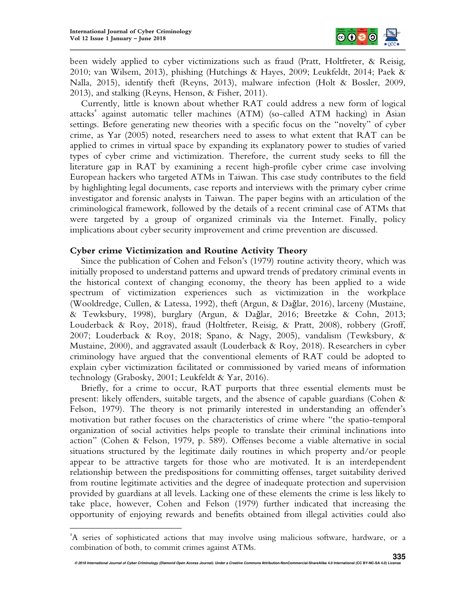$\overline{a}$ 



been widely applied to cyber victimizations such as fraud (Pratt, Holtfreter, & Reisig, 2010; van Wilsem, 2013), phishing (Hutchings & Hayes, 2009; Leukfeldt, 2014; Paek & Nalla, 2015), identify theft (Reyns, 2013), malware infection (Holt & Bossler, 2009, 2013), and stalking (Reyns, Henson, & Fisher, 2011).

Currently, little is known about whether RAT could address a new form of logical attacks<sup>4</sup> against automatic teller machines (ATM) (so-called ATM hacking) in Asian settings. Before generating new theories with a specific focus on the "novelty" of cyber crime, as Yar (2005) noted, researchers need to assess to what extent that RAT can be applied to crimes in virtual space by expanding its explanatory power to studies of varied types of cyber crime and victimization. Therefore, the current study seeks to fill the literature gap in RAT by examining a recent high-profile cyber crime case involving European hackers who targeted ATMs in Taiwan. This case study contributes to the field by highlighting legal documents, case reports and interviews with the primary cyber crime investigator and forensic analysts in Taiwan. The paper begins with an articulation of the criminological framework, followed by the details of a recent criminal case of ATMs that were targeted by a group of organized criminals via the Internet. Finally, policy implications about cyber security improvement and crime prevention are discussed.

#### **Cyber crime Victimization and Routine Activity Theory**

Since the publication of Cohen and Felson's (1979) routine activity theory, which was initially proposed to understand patterns and upward trends of predatory criminal events in the historical context of changing economy, the theory has been applied to a wide spectrum of victimization experiences such as victimization in the workplace (Wooldredge, Cullen, & Latessa, 1992), theft (Argun, & Dağlar, 2016), larceny (Mustaine, & Tewksbury, 1998), burglary (Argun, & Dağlar, 2016; Breetzke & Cohn, 2013; Louderback & Roy, 2018), fraud (Holtfreter, Reisig, & Pratt, 2008), robbery (Groff, 2007; Louderback & Roy, 2018; Spano, & Nagy, 2005), vandalism (Tewksbury, & Mustaine, 2000), and aggravated assault (Louderback & Roy, 2018). Researchers in cyber criminology have argued that the conventional elements of RAT could be adopted to explain cyber victimization facilitated or commissioned by varied means of information technology (Grabosky, 2001; Leukfeldt & Yar, 2016).

Briefly, for a crime to occur, RAT purports that three essential elements must be present: likely offenders, suitable targets, and the absence of capable guardians (Cohen & Felson, 1979). The theory is not primarily interested in understanding an offender's motivation but rather focuses on the characteristics of crime where "the spatio-temporal organization of social activities helps people to translate their criminal inclinations into action" (Cohen & Felson, 1979, p. 589). Offenses become a viable alternative in social situations structured by the legitimate daily routines in which property and/or people appear to be attractive targets for those who are motivated. It is an interdependent relationship between the predispositions for committing offenses, target suitability derived from routine legitimate activities and the degree of inadequate protection and supervision provided by guardians at all levels. Lacking one of these elements the crime is less likely to take place, however, Cohen and Felson (1979) further indicated that increasing the opportunity of enjoying rewards and benefits obtained from illegal activities could also

<sup>4</sup>A series of sophisticated actions that may involve using malicious software, hardware, or a combination of both, to commit crimes against ATMs.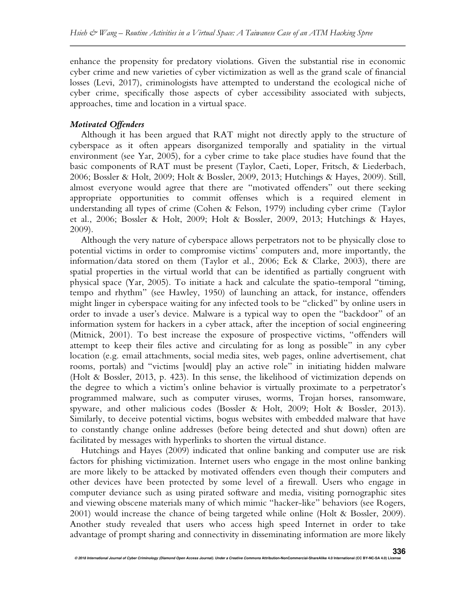enhance the propensity for predatory violations. Given the substantial rise in economic cyber crime and new varieties of cyber victimization as well as the grand scale of financial losses (Levi, 2017), criminologists have attempted to understand the ecological niche of cyber crime, specifically those aspects of cyber accessibility associated with subjects, approaches, time and location in a virtual space.

# *Motivated Offenders*

Although it has been argued that RAT might not directly apply to the structure of cyberspace as it often appears disorganized temporally and spatiality in the virtual environment (see Yar, 2005), for a cyber crime to take place studies have found that the basic components of RAT must be present (Taylor, Caeti, Loper, Fritsch, & Liederbach, 2006; Bossler & Holt, 2009; Holt & Bossler, 2009, 2013; Hutchings & Hayes, 2009). Still, almost everyone would agree that there are "motivated offenders" out there seeking appropriate opportunities to commit offenses which is a required element in understanding all types of crime (Cohen & Felson, 1979) including cyber crime (Taylor et al., 2006; Bossler & Holt, 2009; Holt & Bossler, 2009, 2013; Hutchings & Hayes, 2009).

Although the very nature of cyberspace allows perpetrators not to be physically close to potential victims in order to compromise victims' computers and, more importantly, the information/data stored on them (Taylor et al., 2006; Eck & Clarke, 2003), there are spatial properties in the virtual world that can be identified as partially congruent with physical space (Yar, 2005). To initiate a hack and calculate the spatio-temporal "timing, tempo and rhythm" (see Hawley, 1950) of launching an attack, for instance, offenders might linger in cyberspace waiting for any infected tools to be "clicked" by online users in order to invade a user's device. Malware is a typical way to open the "backdoor" of an information system for hackers in a cyber attack, after the inception of social engineering (Mitnick, 2001). To best increase the exposure of prospective victims, "offenders will attempt to keep their files active and circulating for as long as possible" in any cyber location (e.g. email attachments, social media sites, web pages, online advertisement, chat rooms, portals) and "victims [would] play an active role" in initiating hidden malware (Holt & Bossler, 2013, p. 423). In this sense, the likelihood of victimization depends on the degree to which a victim's online behavior is virtually proximate to a perpetrator's programmed malware, such as computer viruses, worms, Trojan horses, ransomware, spyware, and other malicious codes (Bossler & Holt, 2009; Holt & Bossler, 2013). Similarly, to deceive potential victims, bogus websites with embedded malware that have to constantly change online addresses (before being detected and shut down) often are facilitated by messages with hyperlinks to shorten the virtual distance.

Hutchings and Hayes (2009) indicated that online banking and computer use are risk factors for phishing victimization. Internet users who engage in the most online banking are more likely to be attacked by motivated offenders even though their computers and other devices have been protected by some level of a firewall. Users who engage in computer deviance such as using pirated software and media, visiting pornographic sites and viewing obscene materials many of which mimic "hacker-like" behaviors (see Rogers, 2001) would increase the chance of being targeted while online (Holt & Bossler, 2009). Another study revealed that users who access high speed Internet in order to take advantage of prompt sharing and connectivity in disseminating information are more likely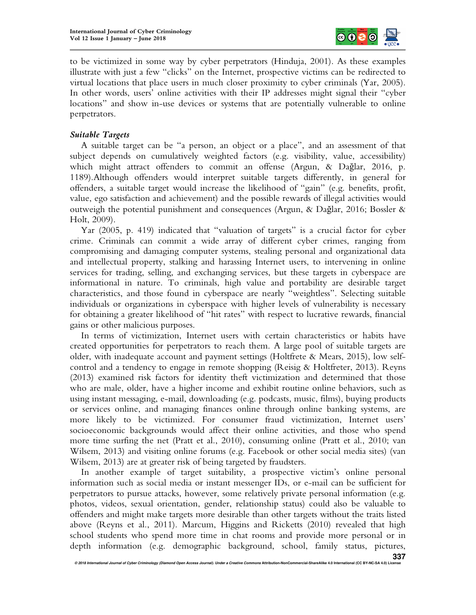

to be victimized in some way by cyber perpetrators (Hinduja, 2001). As these examples illustrate with just a few "clicks" on the Internet, prospective victims can be redirected to virtual locations that place users in much closer proximity to cyber criminals (Yar, 2005). In other words, users' online activities with their IP addresses might signal their "cyber locations" and show in-use devices or systems that are potentially vulnerable to online perpetrators.

# *Suitable Targets*

A suitable target can be "a person, an object or a place", and an assessment of that subject depends on cumulatively weighted factors (e.g. visibility, value, accessibility) which might attract offenders to commit an offense (Argun, & Dağlar, 2016, p. 1189).Although offenders would interpret suitable targets differently, in general for offenders, a suitable target would increase the likelihood of "gain" (e.g. benefits, profit, value, ego satisfaction and achievement) and the possible rewards of illegal activities would outweigh the potential punishment and consequences (Argun, & Dağlar, 2016; Bossler & Holt, 2009).

Yar (2005, p. 419) indicated that "valuation of targets" is a crucial factor for cyber crime. Criminals can commit a wide array of different cyber crimes, ranging from compromising and damaging computer systems, stealing personal and organizational data and intellectual property, stalking and harassing Internet users, to intervening in online services for trading, selling, and exchanging services, but these targets in cyberspace are informational in nature. To criminals, high value and portability are desirable target characteristics, and those found in cyberspace are nearly "weightless". Selecting suitable individuals or organizations in cyberspace with higher levels of vulnerability is necessary for obtaining a greater likelihood of "hit rates" with respect to lucrative rewards, financial gains or other malicious purposes.

In terms of victimization, Internet users with certain characteristics or habits have created opportunities for perpetrators to reach them. A large pool of suitable targets are older, with inadequate account and payment settings (Holtfrete & Mears, 2015), low selfcontrol and a tendency to engage in remote shopping (Reisig & Holtfreter, 2013). Reyns (2013) examined risk factors for identity theft victimization and determined that those who are male, older, have a higher income and exhibit routine online behaviors, such as using instant messaging, e-mail, downloading (e.g. podcasts, music, films), buying products or services online, and managing finances online through online banking systems, are more likely to be victimized. For consumer fraud victimization, Internet users' socioeconomic backgrounds would affect their online activities, and those who spend more time surfing the net (Pratt et al., 2010), consuming online (Pratt et al., 2010; van Wilsem, 2013) and visiting online forums (e.g. Facebook or other social media sites) (van Wilsem, 2013) are at greater risk of being targeted by fraudsters.

In another example of target suitability, a prospective victim's online personal information such as social media or instant messenger IDs, or e-mail can be sufficient for perpetrators to pursue attacks, however, some relatively private personal information (e.g. photos, videos, sexual orientation, gender, relationship status) could also be valuable to offenders and might make targets more desirable than other targets without the traits listed above (Reyns et al., 2011). Marcum, Higgins and Ricketts (2010) revealed that high school students who spend more time in chat rooms and provide more personal or in depth information (e.g. demographic background, school, family status, pictures,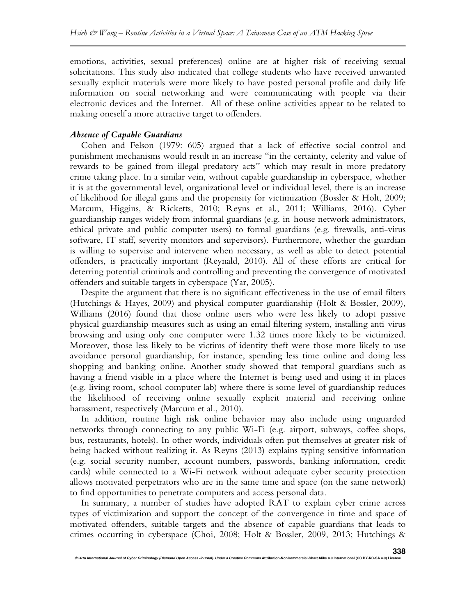emotions, activities, sexual preferences) online are at higher risk of receiving sexual solicitations. This study also indicated that college students who have received unwanted sexually explicit materials were more likely to have posted personal profile and daily life information on social networking and were communicating with people via their electronic devices and the Internet. All of these online activities appear to be related to making oneself a more attractive target to offenders.

#### *Absence of Capable Guardians*

Cohen and Felson (1979: 605) argued that a lack of effective social control and punishment mechanisms would result in an increase "in the certainty, celerity and value of rewards to be gained from illegal predatory acts" which may result in more predatory crime taking place. In a similar vein, without capable guardianship in cyberspace, whether it is at the governmental level, organizational level or individual level, there is an increase of likelihood for illegal gains and the propensity for victimization (Bossler & Holt, 2009; Marcum, Higgins, & Ricketts, 2010; Reyns et al., 2011; Williams, 2016). Cyber guardianship ranges widely from informal guardians (e.g. in-house network administrators, ethical private and public computer users) to formal guardians (e.g. firewalls, anti-virus software, IT staff, severity monitors and supervisors). Furthermore, whether the guardian is willing to supervise and intervene when necessary, as well as able to detect potential offenders, is practically important (Reynald, 2010). All of these efforts are critical for deterring potential criminals and controlling and preventing the convergence of motivated offenders and suitable targets in cyberspace (Yar, 2005).

Despite the argument that there is no significant effectiveness in the use of email filters (Hutchings & Hayes, 2009) and physical computer guardianship (Holt & Bossler, 2009), Williams (2016) found that those online users who were less likely to adopt passive physical guardianship measures such as using an email filtering system, installing anti-virus browsing and using only one computer were 1.32 times more likely to be victimized. Moreover, those less likely to be victims of identity theft were those more likely to use avoidance personal guardianship, for instance, spending less time online and doing less shopping and banking online. Another study showed that temporal guardians such as having a friend visible in a place where the Internet is being used and using it in places (e.g. living room, school computer lab) where there is some level of guardianship reduces the likelihood of receiving online sexually explicit material and receiving online harassment, respectively (Marcum et al., 2010).

In addition, routine high risk online behavior may also include using unguarded networks through connecting to any public Wi-Fi (e.g. airport, subways, coffee shops, bus, restaurants, hotels). In other words, individuals often put themselves at greater risk of being hacked without realizing it. As Reyns (2013) explains typing sensitive information (e.g. social security number, account numbers, passwords, banking information, credit cards) while connected to a Wi-Fi network without adequate cyber security protection allows motivated perpetrators who are in the same time and space (on the same network) to find opportunities to penetrate computers and access personal data.

In summary, a number of studies have adopted RAT to explain cyber crime across types of victimization and support the concept of the convergence in time and space of motivated offenders, suitable targets and the absence of capable guardians that leads to crimes occurring in cyberspace (Choi, 2008; Holt & Bossler, 2009, 2013; Hutchings &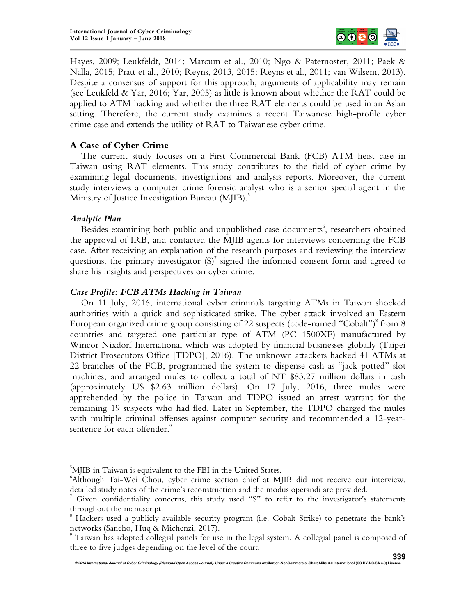

Hayes, 2009; Leukfeldt, 2014; Marcum et al., 2010; Ngo & Paternoster, 2011; Paek & Nalla, 2015; Pratt et al., 2010; Reyns, 2013, 2015; Reyns et al., 2011; van Wilsem, 2013). Despite a consensus of support for this approach, arguments of applicability may remain (see Leukfeld & Yar, 2016; Yar, 2005) as little is known about whether the RAT could be applied to ATM hacking and whether the three RAT elements could be used in an Asian setting. Therefore, the current study examines a recent Taiwanese high-profile cyber crime case and extends the utility of RAT to Taiwanese cyber crime.

# **A Case of Cyber Crime**

The current study focuses on a First Commercial Bank (FCB) ATM heist case in Taiwan using RAT elements. This study contributes to the field of cyber crime by examining legal documents, investigations and analysis reports. Moreover, the current study interviews a computer crime forensic analyst who is a senior special agent in the Ministry of Justice Investigation Bureau (MJIB).<sup>5</sup>

## *Analytic Plan*

 $\overline{a}$ 

Besides examining both public and unpublished case documents<sup>6</sup>, researchers obtained the approval of IRB, and contacted the MJIB agents for interviews concerning the FCB case. After receiving an explanation of the research purposes and reviewing the interview questions, the primary investigator  $(S)^7$  signed the informed consent form and agreed to share his insights and perspectives on cyber crime.

## *Case Profile: FCB ATMs Hacking in Taiwan*

On 11 July, 2016, international cyber criminals targeting ATMs in Taiwan shocked authorities with a quick and sophisticated strike. The cyber attack involved an Eastern European organized crime group consisting of 22 suspects (code-named "Cobalt") $^{\mathrm{s}}$  from 8 countries and targeted one particular type of ATM (PC 1500XE) manufactured by Wincor Nixdorf International which was adopted by financial businesses globally (Taipei District Prosecutors Office [TDPO], 2016). The unknown attackers hacked 41 ATMs at 22 branches of the FCB, programmed the system to dispense cash as "jack potted" slot machines, and arranged mules to collect a total of NT \$83.27 million dollars in cash (approximately US \$2.63 million dollars). On 17 July, 2016, three mules were apprehended by the police in Taiwan and TDPO issued an arrest warrant for the remaining 19 suspects who had fled. Later in September, the TDPO charged the mules with multiple criminal offenses against computer security and recommended a 12-yearsentence for each offender.<sup>9</sup>

<sup>&</sup>lt;sup>5</sup>MJIB in Taiwan is equivalent to the FBI in the United States.

<sup>6</sup>Although Tai-Wei Chou, cyber crime section chief at MJIB did not receive our interview, detailed study notes of the crime's reconstruction and the modus operandi are provided.

<sup>7</sup> Given confidentiality concerns, this study used "S" to refer to the investigator's statements throughout the manuscript.

<sup>8</sup> Hackers used a publicly available security program (i.e. Cobalt Strike) to penetrate the bank's networks (Sancho, Huq & Michenzi, 2017).

<sup>9</sup> Taiwan has adopted collegial panels for use in the legal system. A collegial panel is composed of three to five judges depending on the level of the court.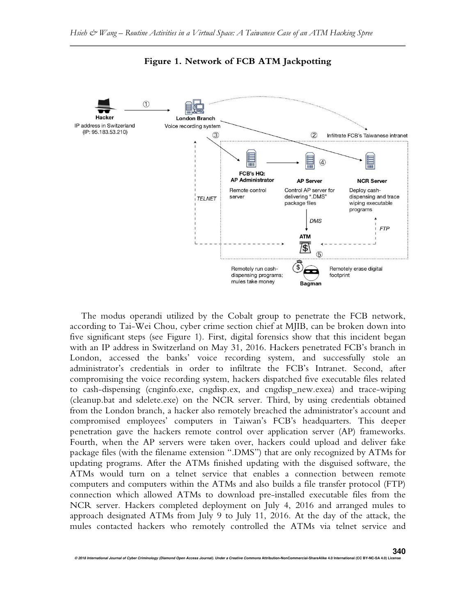

**Figure 1. Network of FCB ATM Jackpotting** 

The modus operandi utilized by the Cobalt group to penetrate the FCB network, according to Tai-Wei Chou, cyber crime section chief at MJIB, can be broken down into five significant steps (see Figure 1). First, digital forensics show that this incident began with an IP address in Switzerland on May 31, 2016. Hackers penetrated FCB's branch in London, accessed the banks' voice recording system, and successfully stole an administrator's credentials in order to infiltrate the FCB's Intranet. Second, after compromising the voice recording system, hackers dispatched five executable files related to cash-dispensing (cnginfo.exe, cngdisp.ex, and cngdisp\_new.exea) and trace-wiping (cleanup.bat and sdelete.exe) on the NCR server. Third, by using credentials obtained from the London branch, a hacker also remotely breached the administrator's account and compromised employees' computers in Taiwan's FCB's headquarters. This deeper penetration gave the hackers remote control over application server (AP) frameworks. Fourth, when the AP servers were taken over, hackers could upload and deliver fake package files (with the filename extension ".DMS") that are only recognized by ATMs for updating programs. After the ATMs finished updating with the disguised software, the ATMs would turn on a telnet service that enables a connection between remote computers and computers within the ATMs and also builds a file transfer protocol (FTP) connection which allowed ATMs to download pre-installed executable files from the NCR server. Hackers completed deployment on July 4, 2016 and arranged mules to approach designated ATMs from July 9 to July 11, 2016. At the day of the attack, the mules contacted hackers who remotely controlled the ATMs via telnet service and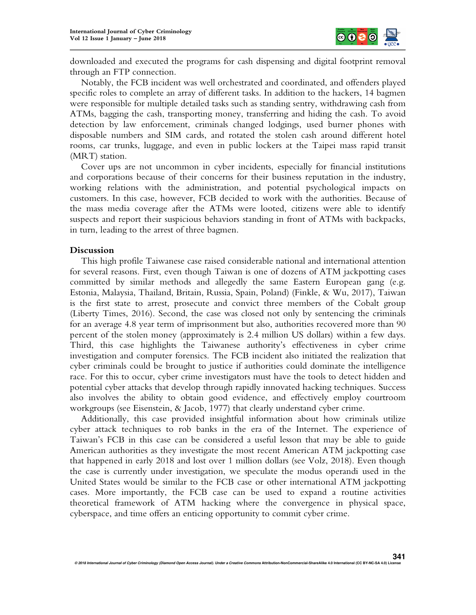

downloaded and executed the programs for cash dispensing and digital footprint removal through an FTP connection.

Notably, the FCB incident was well orchestrated and coordinated, and offenders played specific roles to complete an array of different tasks. In addition to the hackers, 14 bagmen were responsible for multiple detailed tasks such as standing sentry, withdrawing cash from ATMs, bagging the cash, transporting money, transferring and hiding the cash. To avoid detection by law enforcement, criminals changed lodgings, used burner phones with disposable numbers and SIM cards, and rotated the stolen cash around different hotel rooms, car trunks, luggage, and even in public lockers at the Taipei mass rapid transit (MRT) station.

Cover ups are not uncommon in cyber incidents, especially for financial institutions and corporations because of their concerns for their business reputation in the industry, working relations with the administration, and potential psychological impacts on customers. In this case, however, FCB decided to work with the authorities. Because of the mass media coverage after the ATMs were looted, citizens were able to identify suspects and report their suspicious behaviors standing in front of ATMs with backpacks, in turn, leading to the arrest of three bagmen.

#### **Discussion**

This high profile Taiwanese case raised considerable national and international attention for several reasons. First, even though Taiwan is one of dozens of ATM jackpotting cases committed by similar methods and allegedly the same Eastern European gang (e.g. Estonia, Malaysia, Thailand, Britain, Russia, Spain, Poland) (Finkle, & Wu, 2017), Taiwan is the first state to arrest, prosecute and convict three members of the Cobalt group (Liberty Times, 2016). Second, the case was closed not only by sentencing the criminals for an average 4.8 year term of imprisonment but also, authorities recovered more than 90 percent of the stolen money (approximately is 2.4 million US dollars) within a few days. Third, this case highlights the Taiwanese authority's effectiveness in cyber crime investigation and computer forensics. The FCB incident also initiated the realization that cyber criminals could be brought to justice if authorities could dominate the intelligence race. For this to occur, cyber crime investigators must have the tools to detect hidden and potential cyber attacks that develop through rapidly innovated hacking techniques. Success also involves the ability to obtain good evidence, and effectively employ courtroom workgroups (see Eisenstein, & Jacob, 1977) that clearly understand cyber crime.

Additionally, this case provided insightful information about how criminals utilize cyber attack techniques to rob banks in the era of the Internet. The experience of Taiwan's FCB in this case can be considered a useful lesson that may be able to guide American authorities as they investigate the most recent American ATM jackpotting case that happened in early 2018 and lost over 1 million dollars (see Volz, 2018). Even though the case is currently under investigation, we speculate the modus operandi used in the United States would be similar to the FCB case or other international ATM jackpotting cases. More importantly, the FCB case can be used to expand a routine activities theoretical framework of ATM hacking where the convergence in physical space, cyberspace, and time offers an enticing opportunity to commit cyber crime.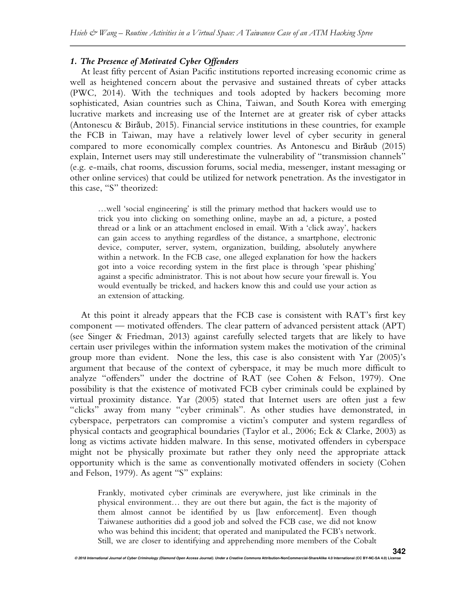## *1. The Presence of Motivated Cyber Offenders*

At least fifty percent of Asian Pacific institutions reported increasing economic crime as well as heightened concern about the pervasive and sustained threats of cyber attacks (PWC, 2014). With the techniques and tools adopted by hackers becoming more sophisticated, Asian countries such as China, Taiwan, and South Korea with emerging lucrative markets and increasing use of the Internet are at greater risk of cyber attacks (Antonescu & Birăub, 2015). Financial service institutions in these countries, for example the FCB in Taiwan, may have a relatively lower level of cyber security in general compared to more economically complex countries. As Antonescu and Birăub (2015) explain, Internet users may still underestimate the vulnerability of "transmission channels" (e.g. e-mails, chat rooms, discussion forums, social media, messenger, instant messaging or other online services) that could be utilized for network penetration. As the investigator in this case, "S" theorized:

…well 'social engineering' is still the primary method that hackers would use to trick you into clicking on something online, maybe an ad, a picture, a posted thread or a link or an attachment enclosed in email. With a 'click away', hackers can gain access to anything regardless of the distance, a smartphone, electronic device, computer, server, system, organization, building, absolutely anywhere within a network. In the FCB case, one alleged explanation for how the hackers got into a voice recording system in the first place is through 'spear phishing' against a specific administrator. This is not about how secure your firewall is. You would eventually be tricked, and hackers know this and could use your action as an extension of attacking.

At this point it already appears that the FCB case is consistent with RAT's first key component — motivated offenders. The clear pattern of advanced persistent attack (APT) (see Singer & Friedman, 2013) against carefully selected targets that are likely to have certain user privileges within the information system makes the motivation of the criminal group more than evident. None the less, this case is also consistent with Yar (2005)'s argument that because of the context of cyberspace, it may be much more difficult to analyze "offenders" under the doctrine of RAT (see Cohen & Felson, 1979). One possibility is that the existence of motivated FCB cyber criminals could be explained by virtual proximity distance. Yar (2005) stated that Internet users are often just a few "clicks" away from many "cyber criminals". As other studies have demonstrated, in cyberspace, perpetrators can compromise a victim's computer and system regardless of physical contacts and geographical boundaries (Taylor et al., 2006; Eck & Clarke, 2003) as long as victims activate hidden malware. In this sense, motivated offenders in cyberspace might not be physically proximate but rather they only need the appropriate attack opportunity which is the same as conventionally motivated offenders in society (Cohen and Felson, 1979). As agent "S" explains:

Frankly, motivated cyber criminals are everywhere, just like criminals in the physical environment… they are out there but again, the fact is the majority of them almost cannot be identified by us [law enforcement]. Even though Taiwanese authorities did a good job and solved the FCB case, we did not know who was behind this incident; that operated and manipulated the FCB's network. Still, we are closer to identifying and apprehending more members of the Cobalt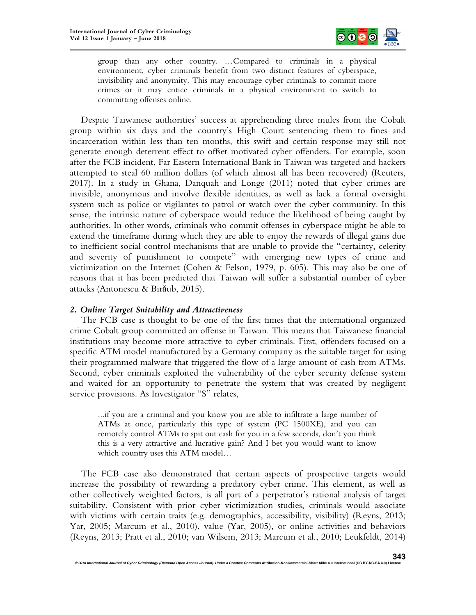

group than any other country. …Compared to criminals in a physical environment, cyber criminals benefit from two distinct features of cyberspace, invisibility and anonymity. This may encourage cyber criminals to commit more crimes or it may entice criminals in a physical environment to switch to committing offenses online.

Despite Taiwanese authorities' success at apprehending three mules from the Cobalt group within six days and the country's High Court sentencing them to fines and incarceration within less than ten months, this swift and certain response may still not generate enough deterrent effect to offset motivated cyber offenders. For example, soon after the FCB incident, Far Eastern International Bank in Taiwan was targeted and hackers attempted to steal 60 million dollars (of which almost all has been recovered) (Reuters, 2017). In a study in Ghana, Danquah and Longe (2011) noted that cyber crimes are invisible, anonymous and involve flexible identities, as well as lack a formal oversight system such as police or vigilantes to patrol or watch over the cyber community. In this sense, the intrinsic nature of cyberspace would reduce the likelihood of being caught by authorities. In other words, criminals who commit offenses in cyberspace might be able to extend the timeframe during which they are able to enjoy the rewards of illegal gains due to inefficient social control mechanisms that are unable to provide the "certainty, celerity and severity of punishment to compete" with emerging new types of crime and victimization on the Internet (Cohen & Felson, 1979, p. 605). This may also be one of reasons that it has been predicted that Taiwan will suffer a substantial number of cyber attacks (Antonescu & Birăub, 2015).

#### *2. Online Target Suitability and Attractiveness*

The FCB case is thought to be one of the first times that the international organized crime Cobalt group committed an offense in Taiwan. This means that Taiwanese financial institutions may become more attractive to cyber criminals. First, offenders focused on a specific ATM model manufactured by a Germany company as the suitable target for using their programmed malware that triggered the flow of a large amount of cash from ATMs. Second, cyber criminals exploited the vulnerability of the cyber security defense system and waited for an opportunity to penetrate the system that was created by negligent service provisions. As Investigator "S" relates,

...if you are a criminal and you know you are able to infiltrate a large number of ATMs at once, particularly this type of system (PC 1500XE), and you can remotely control ATMs to spit out cash for you in a few seconds, don't you think this is a very attractive and lucrative gain? And I bet you would want to know which country uses this ATM model…

The FCB case also demonstrated that certain aspects of prospective targets would increase the possibility of rewarding a predatory cyber crime. This element, as well as other collectively weighted factors, is all part of a perpetrator's rational analysis of target suitability. Consistent with prior cyber victimization studies, criminals would associate with victims with certain traits (e.g. demographics, accessibility, visibility) (Reyns, 2013; Yar, 2005; Marcum et al., 2010), value (Yar, 2005), or online activities and behaviors (Reyns, 2013; Pratt et al., 2010; van Wilsem, 2013; Marcum et al., 2010; Leukfeldt, 2014)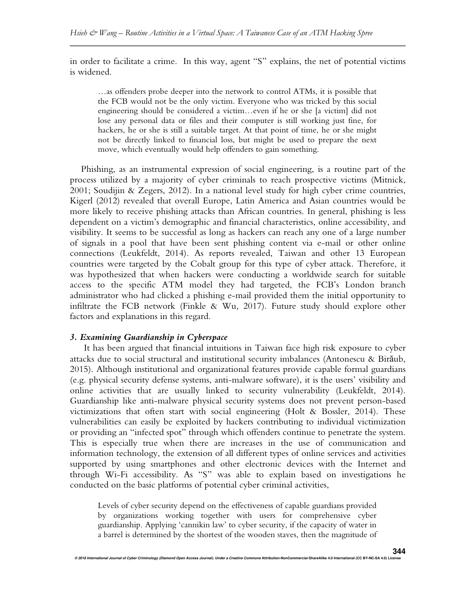in order to facilitate a crime. In this way, agent "S" explains, the net of potential victims is widened.

…as offenders probe deeper into the network to control ATMs, it is possible that the FCB would not be the only victim. Everyone who was tricked by this social engineering should be considered a victim…even if he or she [a victim] did not lose any personal data or files and their computer is still working just fine, for hackers, he or she is still a suitable target. At that point of time, he or she might not be directly linked to financial loss, but might be used to prepare the next move, which eventually would help offenders to gain something.

Phishing, as an instrumental expression of social engineering, is a routine part of the process utilized by a majority of cyber criminals to reach prospective victims (Mitnick, 2001; Soudijin & Zegers, 2012). In a national level study for high cyber crime countries, Kigerl (2012) revealed that overall Europe, Latin America and Asian countries would be more likely to receive phishing attacks than African countries. In general, phishing is less dependent on a victim's demographic and financial characteristics, online accessibility, and visibility. It seems to be successful as long as hackers can reach any one of a large number of signals in a pool that have been sent phishing content via e-mail or other online connections (Leukfeldt, 2014). As reports revealed, Taiwan and other 13 European countries were targeted by the Cobalt group for this type of cyber attack. Therefore, it was hypothesized that when hackers were conducting a worldwide search for suitable access to the specific ATM model they had targeted, the FCB's London branch administrator who had clicked a phishing e-mail provided them the initial opportunity to infiltrate the FCB network (Finkle & Wu, 2017). Future study should explore other factors and explanations in this regard.

## *3. Examining Guardianship in Cyberspace*

It has been argued that financial intuitions in Taiwan face high risk exposure to cyber attacks due to social structural and institutional security imbalances (Antonescu & Birăub, 2015). Although institutional and organizational features provide capable formal guardians (e.g. physical security defense systems, anti-malware software), it is the users' visibility and online activities that are usually linked to security vulnerability (Leukfeldt, 2014). Guardianship like anti-malware physical security systems does not prevent person-based victimizations that often start with social engineering (Holt & Bossler, 2014). These vulnerabilities can easily be exploited by hackers contributing to individual victimization or providing an "infected spot" through which offenders continue to penetrate the system. This is especially true when there are increases in the use of communication and information technology, the extension of all different types of online services and activities supported by using smartphones and other electronic devices with the Internet and through Wi-Fi accessibility. As "S" was able to explain based on investigations he conducted on the basic platforms of potential cyber criminal activities,

Levels of cyber security depend on the effectiveness of capable guardians provided by organizations working together with users for comprehensive cyber guardianship. Applying 'cannikin law' to cyber security, if the capacity of water in a barrel is determined by the shortest of the wooden staves, then the magnitude of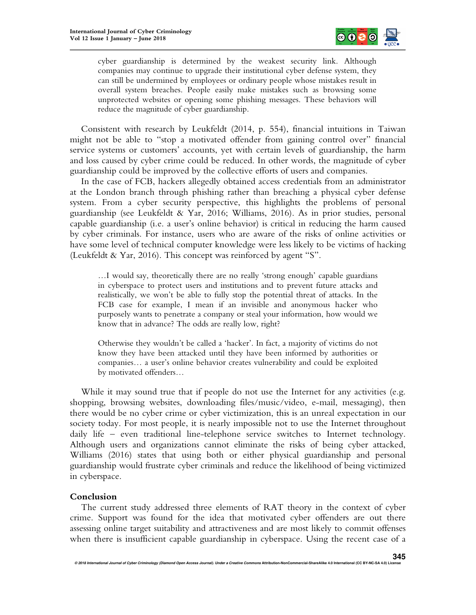

cyber guardianship is determined by the weakest security link. Although companies may continue to upgrade their institutional cyber defense system, they can still be undermined by employees or ordinary people whose mistakes result in overall system breaches. People easily make mistakes such as browsing some unprotected websites or opening some phishing messages. These behaviors will reduce the magnitude of cyber guardianship.

Consistent with research by Leukfeldt (2014, p. 554), financial intuitions in Taiwan might not be able to "stop a motivated offender from gaining control over" financial service systems or customers' accounts, yet with certain levels of guardianship, the harm and loss caused by cyber crime could be reduced. In other words, the magnitude of cyber guardianship could be improved by the collective efforts of users and companies.

In the case of FCB, hackers allegedly obtained access credentials from an administrator at the London branch through phishing rather than breaching a physical cyber defense system. From a cyber security perspective, this highlights the problems of personal guardianship (see Leukfeldt & Yar, 2016; Williams, 2016). As in prior studies, personal capable guardianship (i.e. a user's online behavior) is critical in reducing the harm caused by cyber criminals. For instance, users who are aware of the risks of online activities or have some level of technical computer knowledge were less likely to be victims of hacking (Leukfeldt & Yar, 2016). This concept was reinforced by agent "S".

…I would say, theoretically there are no really 'strong enough' capable guardians in cyberspace to protect users and institutions and to prevent future attacks and realistically, we won't be able to fully stop the potential threat of attacks. In the FCB case for example, I mean if an invisible and anonymous hacker who purposely wants to penetrate a company or steal your information, how would we know that in advance? The odds are really low, right?

Otherwise they wouldn't be called a 'hacker'. In fact, a majority of victims do not know they have been attacked until they have been informed by authorities or companies… a user's online behavior creates vulnerability and could be exploited by motivated offenders…

While it may sound true that if people do not use the Internet for any activities (e.g. shopping, browsing websites, downloading files/music/video, e-mail, messaging), then there would be no cyber crime or cyber victimization, this is an unreal expectation in our society today. For most people, it is nearly impossible not to use the Internet throughout daily life – even traditional line-telephone service switches to Internet technology. Although users and organizations cannot eliminate the risks of being cyber attacked, Williams (2016) states that using both or either physical guardianship and personal guardianship would frustrate cyber criminals and reduce the likelihood of being victimized in cyberspace.

#### **Conclusion**

The current study addressed three elements of RAT theory in the context of cyber crime. Support was found for the idea that motivated cyber offenders are out there assessing online target suitability and attractiveness and are most likely to commit offenses when there is insufficient capable guardianship in cyberspace. Using the recent case of a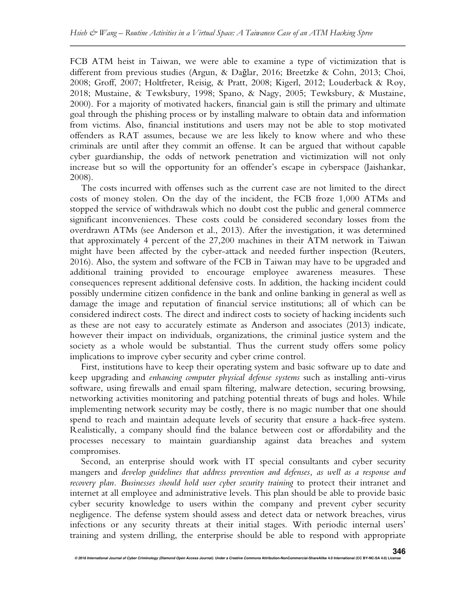FCB ATM heist in Taiwan, we were able to examine a type of victimization that is different from previous studies (Argun, & Dağlar, 2016; Breetzke & Cohn, 2013; Choi, 2008; Groff, 2007; Holtfreter, Reisig, & Pratt, 2008; Kigerl, 2012; Louderback & Roy, 2018; Mustaine, & Tewksbury, 1998; Spano, & Nagy, 2005; Tewksbury, & Mustaine, 2000). For a majority of motivated hackers, financial gain is still the primary and ultimate goal through the phishing process or by installing malware to obtain data and information from victims. Also, financial institutions and users may not be able to stop motivated offenders as RAT assumes, because we are less likely to know where and who these criminals are until after they commit an offense. It can be argued that without capable cyber guardianship, the odds of network penetration and victimization will not only increase but so will the opportunity for an offender's escape in cyberspace (Jaishankar, 2008).

The costs incurred with offenses such as the current case are not limited to the direct costs of money stolen. On the day of the incident, the FCB froze 1,000 ATMs and stopped the service of withdrawals which no doubt cost the public and general commerce significant inconveniences. These costs could be considered secondary losses from the overdrawn ATMs (see Anderson et al., 2013). After the investigation, it was determined that approximately 4 percent of the 27,200 machines in their ATM network in Taiwan might have been affected by the cyber-attack and needed further inspection (Reuters, 2016). Also, the system and software of the FCB in Taiwan may have to be upgraded and additional training provided to encourage employee awareness measures. These consequences represent additional defensive costs. In addition, the hacking incident could possibly undermine citizen confidence in the bank and online banking in general as well as damage the image and reputation of financial service institutions; all of which can be considered indirect costs. The direct and indirect costs to society of hacking incidents such as these are not easy to accurately estimate as Anderson and associates (2013) indicate, however their impact on individuals, organizations, the criminal justice system and the society as a whole would be substantial. Thus the current study offers some policy implications to improve cyber security and cyber crime control.

First, institutions have to keep their operating system and basic software up to date and keep upgrading and *enhancing computer physical defense systems* such as installing anti-virus software, using firewalls and email spam filtering, malware detection, securing browsing, networking activities monitoring and patching potential threats of bugs and holes. While implementing network security may be costly, there is no magic number that one should spend to reach and maintain adequate levels of security that ensure a hack-free system. Realistically, a company should find the balance between cost or affordability and the processes necessary to maintain guardianship against data breaches and system compromises.

Second, an enterprise should work with IT special consultants and cyber security mangers and *develop guidelines that address prevention and defenses, as well as a response and*  recovery plan. Businesses should hold user cyber security training to protect their intranet and internet at all employee and administrative levels. This plan should be able to provide basic cyber security knowledge to users within the company and prevent cyber security negligence. The defense system should assess and detect data or network breaches, virus infections or any security threats at their initial stages. With periodic internal users' training and system drilling, the enterprise should be able to respond with appropriate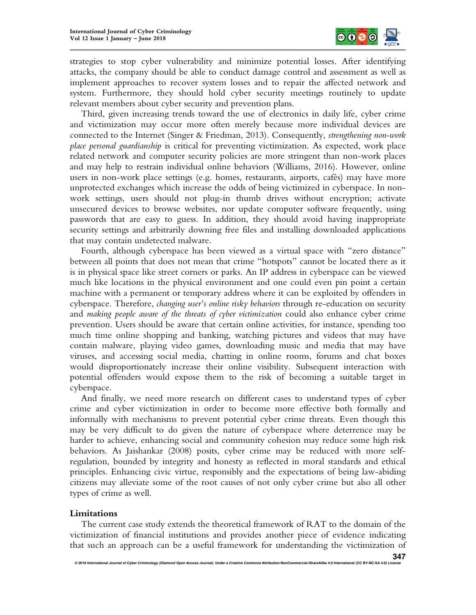

strategies to stop cyber vulnerability and minimize potential losses. After identifying attacks, the company should be able to conduct damage control and assessment as well as implement approaches to recover system losses and to repair the affected network and system. Furthermore, they should hold cyber security meetings routinely to update relevant members about cyber security and prevention plans.

Third, given increasing trends toward the use of electronics in daily life, cyber crime and victimization may occur more often merely because more individual devices are connected to the Internet (Singer & Friedman, 2013). Consequently, *strengthening non-work place personal guardianship* is critical for preventing victimization. As expected, work place related network and computer security policies are more stringent than non-work places and may help to restrain individual online behaviors (Williams, 2016). However, online users in non-work place settings (e.g. homes, restaurants, airports, cafés) may have more unprotected exchanges which increase the odds of being victimized in cyberspace. In nonwork settings, users should not plug-in thumb drives without encryption; activate unsecured devices to browse websites, nor update computer software frequently, using passwords that are easy to guess. In addition, they should avoid having inappropriate security settings and arbitrarily downing free files and installing downloaded applications that may contain undetected malware.

Fourth, although cyberspace has been viewed as a virtual space with "zero distance" between all points that does not mean that crime "hotspots" cannot be located there as it is in physical space like street corners or parks. An IP address in cyberspace can be viewed much like locations in the physical environment and one could even pin point a certain machine with a permanent or temporary address where it can be exploited by offenders in cyberspace. Therefore, *changing user's online risky behaviors* through re-education on security and *making people aware of the threats of cyber victimization* could also enhance cyber crime prevention. Users should be aware that certain online activities, for instance, spending too much time online shopping and banking, watching pictures and videos that may have contain malware, playing video games, downloading music and media that may have viruses, and accessing social media, chatting in online rooms, forums and chat boxes would disproportionately increase their online visibility. Subsequent interaction with potential offenders would expose them to the risk of becoming a suitable target in cyberspace.

And finally, we need more research on different cases to understand types of cyber crime and cyber victimization in order to become more effective both formally and informally with mechanisms to prevent potential cyber crime threats. Even though this may be very difficult to do given the nature of cyberspace where deterrence may be harder to achieve, enhancing social and community cohesion may reduce some high risk behaviors. As Jaishankar (2008) posits, cyber crime may be reduced with more selfregulation, bounded by integrity and honesty as reflected in moral standards and ethical principles. Enhancing civic virtue, responsibly and the expectations of being law-abiding citizens may alleviate some of the root causes of not only cyber crime but also all other types of crime as well.

#### **Limitations**

The current case study extends the theoretical framework of RAT to the domain of the victimization of financial institutions and provides another piece of evidence indicating that such an approach can be a useful framework for understanding the victimization of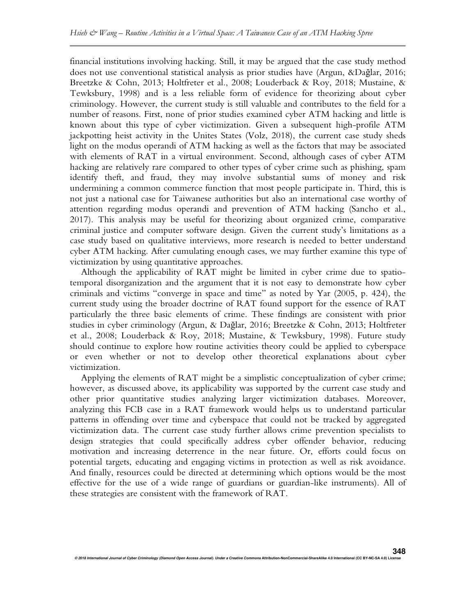financial institutions involving hacking. Still, it may be argued that the case study method does not use conventional statistical analysis as prior studies have (Argun, &Dağlar, 2016; Breetzke & Cohn, 2013; Holtfreter et al., 2008; Louderback & Roy, 2018; Mustaine, & Tewksbury, 1998) and is a less reliable form of evidence for theorizing about cyber criminology. However, the current study is still valuable and contributes to the field for a number of reasons. First, none of prior studies examined cyber ATM hacking and little is known about this type of cyber victimization. Given a subsequent high-profile ATM jackpotting heist activity in the Unites States (Volz, 2018), the current case study sheds light on the modus operandi of ATM hacking as well as the factors that may be associated with elements of RAT in a virtual environment. Second, although cases of cyber ATM hacking are relatively rare compared to other types of cyber crime such as phishing, spam identify theft, and fraud, they may involve substantial sums of money and risk undermining a common commerce function that most people participate in. Third, this is not just a national case for Taiwanese authorities but also an international case worthy of attention regarding modus operandi and prevention of ATM hacking (Sancho et al., 2017). This analysis may be useful for theorizing about organized crime, comparative criminal justice and computer software design. Given the current study's limitations as a case study based on qualitative interviews, more research is needed to better understand cyber ATM hacking. After cumulating enough cases, we may further examine this type of victimization by using quantitative approaches.

Although the applicability of RAT might be limited in cyber crime due to spatiotemporal disorganization and the argument that it is not easy to demonstrate how cyber criminals and victims "converge in space and time" as noted by Yar (2005, p. 424), the current study using the broader doctrine of RAT found support for the essence of RAT particularly the three basic elements of crime. These findings are consistent with prior studies in cyber criminology (Argun, & Dağlar, 2016; Breetzke & Cohn, 2013; Holtfreter et al., 2008; Louderback & Roy, 2018; Mustaine, & Tewksbury, 1998). Future study should continue to explore how routine activities theory could be applied to cyberspace or even whether or not to develop other theoretical explanations about cyber victimization.

Applying the elements of RAT might be a simplistic conceptualization of cyber crime; however, as discussed above, its applicability was supported by the current case study and other prior quantitative studies analyzing larger victimization databases. Moreover, analyzing this FCB case in a RAT framework would helps us to understand particular patterns in offending over time and cyberspace that could not be tracked by aggregated victimization data. The current case study further allows crime prevention specialists to design strategies that could specifically address cyber offender behavior, reducing motivation and increasing deterrence in the near future. Or, efforts could focus on potential targets, educating and engaging victims in protection as well as risk avoidance. And finally, resources could be directed at determining which options would be the most effective for the use of a wide range of guardians or guardian-like instruments). All of these strategies are consistent with the framework of RAT.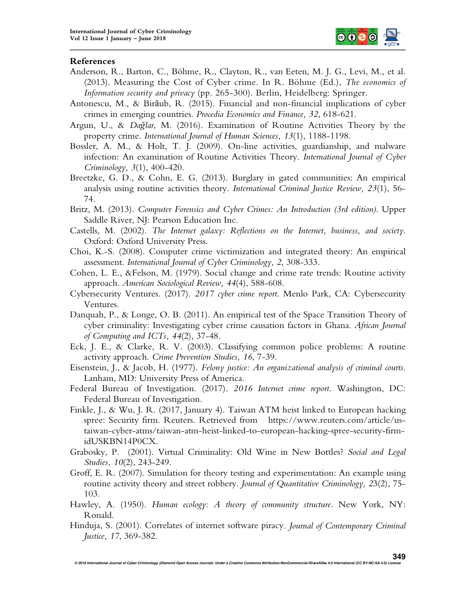

#### **References**

- Anderson, R., Barton, C., Böhme, R., Clayton, R., van Eeten, M. J. G., Levi, M., et al. (2013). Measuring the Cost of Cyber crime. In R. Böhme (Ed.), *The economics of Information security and privacy* (pp. 265-300). Berlin, Heidelberg: Springer.
- Antonescu, M., & Birăub, R. (2015). Financial and non-financial implications of cyber crimes in emerging countries. *Procedia Economics and Finance, 32*, 618-621.
- Argun, U., & *Dağlar*, M. (2016). Examination of Routine Activities Theory by the property crime. *International Journal of Human Sciences, 13*(1), 1188-1198.
- Bossler, A. M., & Holt, T. J. (2009). On-line activities, guardianship, and malware infection: An examination of Routine Activities Theory. *International Journal of Cyber Criminology, 3*(1), 400-420.
- Breetzke, G. D., & Cohn, E. G. (2013). Burglary in gated communities: An empirical analysis using routine activities theory. *International Criminal Justice Review, 23*(1), 56- 74.
- Britz, M. (2013). *Computer Forensics and Cyber Crimes: An Introduction (3rd edition)*. Upper Saddle River, NJ: Pearson Education Inc.
- Castells, M. (2002). *The Internet galaxy: Reflections on the Internet, business, and society*. Oxford: Oxford University Press.
- Choi, K.-S. (2008). Computer crime victimization and integrated theory: An empirical assessment. *International Journal of Cyber Criminology, 2*, 308-333.
- Cohen, L. E., &Felson, M. (1979). Social change and crime rate trends: Routine activity approach. *American Sociological Review, 44*(4), 588-608.
- Cybersecurity Ventures. (2017). *2017 cyber crime report*. Menlo Park, CA: Cybersecurity Ventures.
- Danquah, P., & Longe, O. B. (2011). An empirical test of the Space Transition Theory of cyber criminality: Investigating cyber crime causation factors in Ghana. *African Journal of Computing and ICTs, 44*(2), 37-48.
- Eck, J. E., & Clarke, R. V. (2003). Classifying common police problems: A routine activity approach. *Crime Prevention Studies, 16*, 7-39.
- Eisenstein, J., & Jacob, H. (1977). *Felony justice: An organizational analysis of criminal courts*. Lanham, MD: University Press of America.
- Federal Bureau of Investigation. (2017). *2016 Internet crime report*. Washington, DC: Federal Bureau of Investigation.
- Finkle, J., & Wu, J. R. (2017, January 4). Taiwan ATM heist linked to European hacking spree: Security firm. Reuters. Retrieved from https://www.reuters.com/article/ustaiwan-cyber-atms/taiwan-atm-heist-linked-to-european-hacking-spree-security-firmidUSKBN14P0CX.
- Grabosky, P. (2001). Virtual Criminality: Old Wine in New Bottles? *Social and Legal Studies, 10*(2), 243-249.
- Groff, E. R. (2007). Simulation for theory testing and experimentation: An example using routine activity theory and street robbery. *Journal of Quantitative Criminology, 2*3(2), 75- 103.
- Hawley, A. (1950). *Human ecology: A theory of community structure*. New York, NY: Ronald.
- Hinduja, S. (2001). Correlates of internet software piracy*. Journal of Contemporary Criminal Justice, 17*, 369-382.

**349**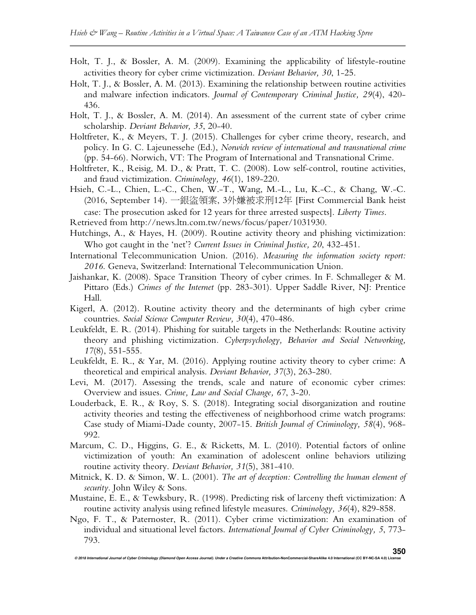- Holt, T. J., & Bossler, A. M. (2009). Examining the applicability of lifestyle-routine activities theory for cyber crime victimization. *Deviant Behavior, 30*, 1-25.
- Holt, T. J., & Bossler, A. M. (2013). Examining the relationship between routine activities and malware infection indicators. *Journal of Contemporary Criminal Justice, 29*(4), 420- 436.
- Holt, T. J., & Bossler, A. M. (2014). An assessment of the current state of cyber crime scholarship. *Deviant Behavior, 35*, 20-40.
- Holtfreter, K., & Meyers, T. J. (2015). Challenges for cyber crime theory, research, and policy. In G. C. Lajeunessehe (Ed.), *Norwich review of international and transnational crime*  (pp. 54-66). Norwich, VT: The Program of International and Transnational Crime.
- Holtfreter, K., Reisig, M. D., & Pratt, T. C. (2008). Low self-control, routine activities, and fraud victimization. *Criminology, 46*(1), 189-220.
- Hsieh, C.-L., Chien, L.-C., Chen, W.-T., Wang, M.-L., Lu, K.-C., & Chang, W.-C. (2016, September 14). 一銀盜領案, 3外嫌被求刑12年 [First Commercial Bank heist case: The prosecution asked for 12 years for three arrested suspects]. *Liberty Times*.
- Retrieved from http://news.ltn.com.tw/news/focus/paper/1031930.
- Hutchings, A., & Hayes, H. (2009). Routine activity theory and phishing victimization: Who got caught in the 'net'? *Current Issues in Criminal Justice, 20*, 432-451.
- International Telecommunication Union. (2016). *Measuring the information society report: 2016*. Geneva, Switzerland: International Telecommunication Union.
- Jaishankar, K. (2008). Space Transition Theory of cyber crimes. In F. Schmalleger & M. Pittaro (Eds.) *Crimes of the Internet* (pp. 283-301). Upper Saddle River, NJ: Prentice Hall.
- Kigerl, A. (2012). Routine activity theory and the determinants of high cyber crime countries. *Social Science Computer Review, 30*(4), 470-486.
- Leukfeldt, E. R. (2014). Phishing for suitable targets in the Netherlands: Routine activity theory and phishing victimization*. Cyberpsychology, Behavior and Social Networking, 17*(8), 551-555.
- Leukfeldt, E. R., & Yar, M. (2016). Applying routine activity theory to cyber crime: A theoretical and empirical analysis. *Deviant Behavior, 37*(3), 263-280.
- Levi, M. (2017). Assessing the trends, scale and nature of economic cyber crimes: Overview and issues. *Crime, Law and Social Change, 67*, 3-20.
- Louderback, E. R., & Roy, S. S. (2018). Integrating social disorganization and routine activity theories and testing the effectiveness of neighborhood crime watch programs: Case study of Miami-Dade county, 2007-15. *British Journal of Criminology, 58*(4), 968- 992.
- Marcum, C. D., Higgins, G. E., & Ricketts, M. L. (2010). Potential factors of online victimization of youth: An examination of adolescent online behaviors utilizing routine activity theory. *Deviant Behavior, 31*(5), 381-410.
- Mitnick, K. D. & Simon, W. L. (2001). *The art of deception: Controlling the human element of security*. John Wiley & Sons.
- Mustaine, E. E., & Tewksbury, R. (1998). Predicting risk of larceny theft victimization: A routine activity analysis using refined lifestyle measures. *Criminology, 36*(4), 829-858.
- Ngo, F. T., & Paternoster, R. (2011). Cyber crime victimization: An examination of individual and situational level factors. *International Journal of Cyber Criminology, 5*, 773- 793.

**© 2018 International Journal of Cyber Criminology (Diamond Open Access Journal). Under a Creative Commons Attribution-NonCommercial-ShareAlike 4.0 International (CC BY-NC-SA 4.0) License 350**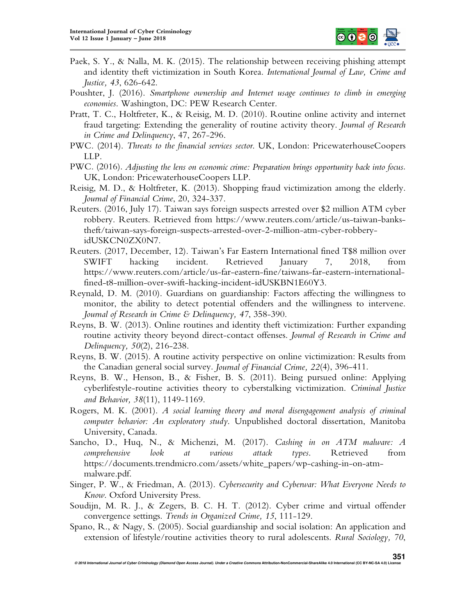

- Paek, S. Y., & Nalla, M. K. (2015). The relationship between receiving phishing attempt and identity theft victimization in South Korea. *International Journal of Law, Crime and Justice, 43*, 626-642.
- Poushter, J. (2016). *Smartphone ownership and Internet usage continues to climb in emerging economies*. Washington, DC: PEW Research Center.
- Pratt, T. C., Holtfreter, K., & Reisig, M. D. (2010). Routine online activity and internet fraud targeting: Extending the generality of routine activity theory. *Journal of Research in Crime and Delinquency*, 47, 267-296.
- PWC. (2014). *Threats to the financial services sector*. UK, London: PricewaterhouseCoopers LLP.
- PWC. (2016). *Adjusting the lens on economic crime: Preparation brings opportunity back into focus*. UK, London: PricewaterhouseCoopers LLP.
- Reisig, M. D., & Holtfreter, K. (2013). Shopping fraud victimization among the elderly. *Journal of Financial Crime*, 20, 324-337.
- Reuters. (2016, July 17). Taiwan says foreign suspects arrested over \$2 million ATM cyber robbery. Reuters. Retrieved from https://www.reuters.com/article/us-taiwan-bankstheft/taiwan-says-foreign-suspects-arrested-over-2-million-atm-cyber-robberyidUSKCN0ZX0N7.
- Reuters. (2017, December, 12). Taiwan's Far Eastern International fined T\$8 million over SWIFT hacking incident. Retrieved January 7, 2018, from https://www.reuters.com/article/us-far-eastern-fine/taiwans-far-eastern-internationalfined-t8-million-over-swift-hacking-incident-idUSKBN1E60Y3.
- Reynald, D. M. (2010). Guardians on guardianship: Factors affecting the willingness to monitor, the ability to detect potential offenders and the willingness to intervene. *Journal of Research in Crime & Delinquency, 47*, 358-390.
- Reyns, B. W. (2013). Online routines and identity theft victimization: Further expanding routine activity theory beyond direct-contact offenses. *Journal of Research in Crime and Delinquency, 50*(2), 216-238.
- Reyns, B. W. (2015). A routine activity perspective on online victimization: Results from the Canadian general social survey. *Journal of Financial Crime, 22*(4), 396-411.
- Reyns, B. W., Henson, B., & Fisher, B. S. (2011). Being pursued online: Applying cyberlifestyle-routine activities theory to cyberstalking victimization. *Criminal Justice and Behavior, 38*(11), 1149-1169.
- Rogers, M. K. (2001). *A social learning theory and moral disengagement analysis of criminal computer behavior: An exploratory study*. Unpublished doctoral dissertation, Manitoba University, Canada.
- Sancho, D., Huq, N., & Michenzi, M. (2017). *Cashing in on ATM malware: A comprehensive look at various attack types*. Retrieved from https://documents.trendmicro.com/assets/white\_papers/wp-cashing-in-on-atmmalware.pdf.
- Singer, P. W., & Friedman, A. (2013). *Cybersecurity and Cyberwar: What Everyone Needs to Know*. Oxford University Press.
- Soudijn, M. R. J., & Zegers, B. C. H. T. (2012). Cyber crime and virtual offender convergence settings. *Trends in Organized Crime, 15*, 111-129.
- Spano, R., & Nagy, S. (2005). Social guardianship and social isolation: An application and extension of lifestyle/routine activities theory to rural adolescents. *Rural Sociology, 70*,